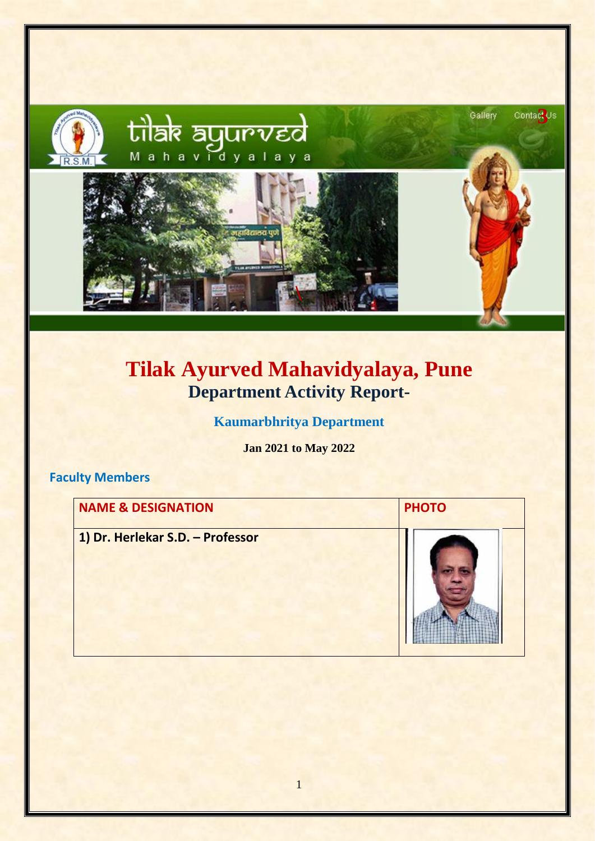

# **Tilak Ayurved Mahavidyalaya, Pune Department Activity Report-**

**Kaumarbhritya Department**

**Jan 2021 to May 2022**

#### **Faculty Members**

| <b>NAME &amp; DESIGNATION</b>    | <b>PHOTO</b> |
|----------------------------------|--------------|
| 1) Dr. Herlekar S.D. - Professor |              |

1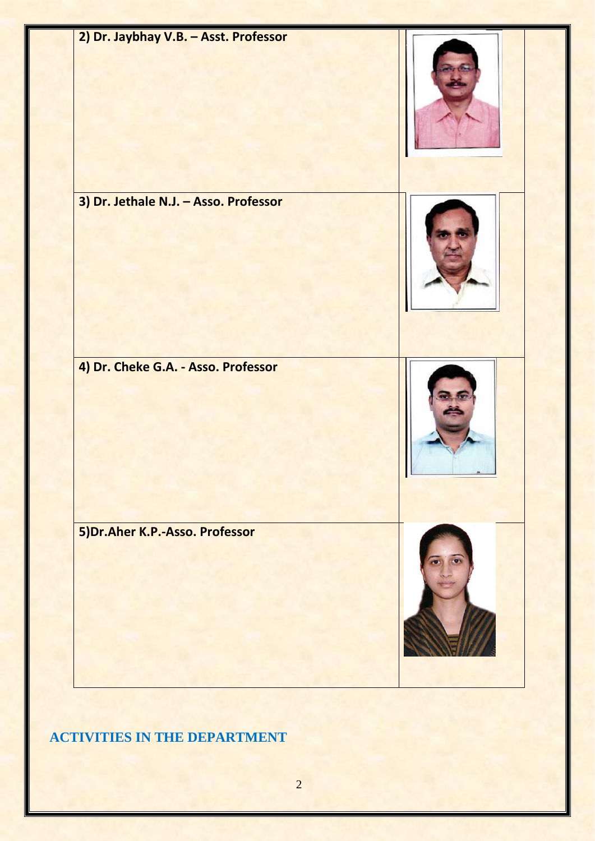

#### **ACTIVITIES IN THE DEPARTMENT**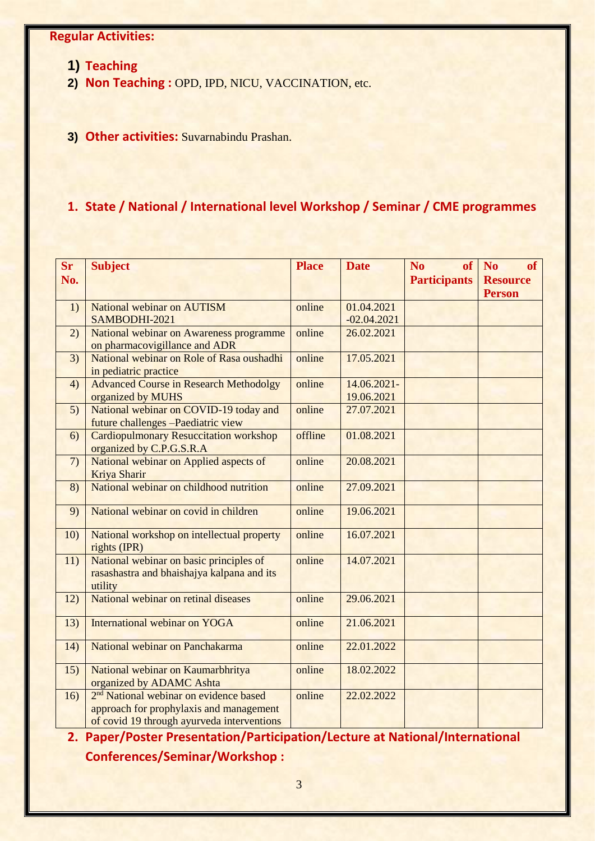#### **Regular Activities:**

- **1) Teaching**
- **2) Non Teaching :** OPD, IPD, NICU, VACCINATION, etc.
- **3) Other activities:** Suvarnabindu Prashan.

#### **1. State / National / International level Workshop / Seminar / CME programmes**

| <b>Sr</b><br>No. | <b>Subject</b>                                     | <b>Place</b> | <b>Date</b>   | N <sub>0</sub><br><b>Participants</b> | of<br>of No<br><b>Resource</b> |
|------------------|----------------------------------------------------|--------------|---------------|---------------------------------------|--------------------------------|
|                  |                                                    |              |               |                                       | <b>Person</b>                  |
| 1)               | National webinar on AUTISM                         | online       | 01.04.2021    |                                       |                                |
|                  | SAMBODHI-2021                                      |              | $-02.04.2021$ |                                       |                                |
| 2)               | National webinar on Awareness programme            | online       | 26.02.2021    |                                       |                                |
|                  | on pharmacovigillance and ADR                      |              |               |                                       |                                |
| 3)               | National webinar on Role of Rasa oushadhi          | online       | 17.05.2021    |                                       |                                |
|                  | in pediatric practice                              |              |               |                                       |                                |
| 4)               | <b>Advanced Course in Research Methodolgy</b>      | online       | 14.06.2021-   |                                       |                                |
|                  | organized by MUHS                                  |              | 19.06.2021    |                                       |                                |
| 5)               | National webinar on COVID-19 today and             | online       | 27.07.2021    |                                       |                                |
|                  | future challenges -Paediatric view                 |              |               |                                       |                                |
| 6)               | <b>Cardiopulmonary Resuccitation workshop</b>      | offline      | 01.08.2021    |                                       |                                |
|                  | organized by C.P.G.S.R.A                           |              |               |                                       |                                |
| 7)               | National webinar on Applied aspects of             | online       | 20.08.2021    |                                       |                                |
|                  | Kriya Sharir                                       |              |               |                                       |                                |
| 8)               | National webinar on childhood nutrition            | online       | 27.09.2021    |                                       |                                |
| 9)               | National webinar on covid in children              | online       | 19.06.2021    |                                       |                                |
|                  |                                                    |              |               |                                       |                                |
| 10)              | National workshop on intellectual property         | online       | 16.07.2021    |                                       |                                |
|                  | rights (IPR)                                       |              |               |                                       |                                |
| 11)              | National webinar on basic principles of            | online       | 14.07.2021    |                                       |                                |
|                  | rasashastra and bhaishajya kalpana and its         |              |               |                                       |                                |
|                  | utility                                            |              |               |                                       |                                |
| 12)              | National webinar on retinal diseases               | online       | 29.06.2021    |                                       |                                |
|                  |                                                    |              |               |                                       |                                |
| 13)              | International webinar on YOGA                      | online       | 21.06.2021    |                                       |                                |
| 14)              | National webinar on Panchakarma                    | online       | 22.01.2022    |                                       |                                |
|                  |                                                    |              |               |                                       |                                |
| 15)              | National webinar on Kaumarbhritya                  | online       | 18.02.2022    |                                       |                                |
|                  | organized by ADAMC Ashta                           |              |               |                                       |                                |
| 16)              | 2 <sup>nd</sup> National webinar on evidence based | online       | 22.02.2022    |                                       |                                |
|                  | approach for prophylaxis and management            |              |               |                                       |                                |
|                  | of covid 19 through ayurveda interventions         |              |               |                                       |                                |

**2. Paper/Poster Presentation/Participation/Lecture at National/International Conferences/Seminar/Workshop :**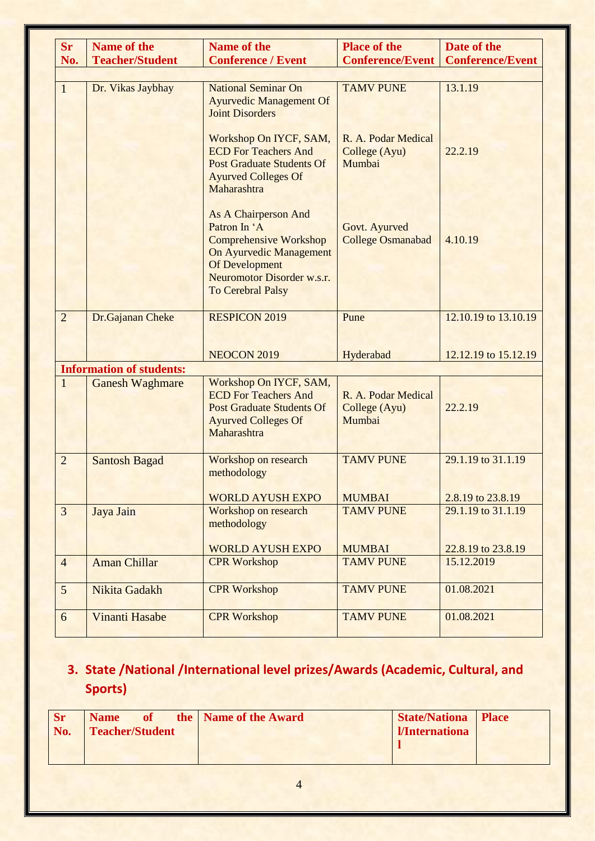| <b>Sr</b>      | <b>Name of the</b>              | <b>Name of the</b>                                                                                                                                                                         | <b>Place of the</b>                            | Date of the             |
|----------------|---------------------------------|--------------------------------------------------------------------------------------------------------------------------------------------------------------------------------------------|------------------------------------------------|-------------------------|
| No.            | <b>Teacher/Student</b>          | <b>Conference / Event</b>                                                                                                                                                                  | <b>Conference/Event</b>                        | <b>Conference/Event</b> |
|                |                                 |                                                                                                                                                                                            |                                                |                         |
| $\mathbf{1}$   | Dr. Vikas Jaybhay               | <b>National Seminar On</b><br><b>Ayurvedic Management Of</b><br><b>Joint Disorders</b>                                                                                                     | <b>TAMV PUNE</b>                               | 13.1.19                 |
|                |                                 | Workshop On IYCF, SAM,<br><b>ECD For Teachers And</b><br><b>Post Graduate Students Of</b><br><b>Ayurved Colleges Of</b><br>Maharashtra                                                     | R. A. Podar Medical<br>College (Ayu)<br>Mumbai | 22.2.19                 |
|                |                                 | As A Chairperson And<br>Patron In 'A<br><b>Comprehensive Workshop</b><br><b>On Ayurvedic Management</b><br><b>Of Development</b><br>Neuromotor Disorder w.s.r.<br><b>To Cerebral Palsy</b> | Govt. Ayurved<br><b>College Osmanabad</b>      | 4.10.19                 |
| $\overline{2}$ | Dr.Gajanan Cheke                | <b>RESPICON 2019</b>                                                                                                                                                                       | Pune                                           | 12.10.19 to 13.10.19    |
|                |                                 | <b>NEOCON 2019</b>                                                                                                                                                                         | Hyderabad                                      | 12.12.19 to 15.12.19    |
|                | <b>Information of students:</b> |                                                                                                                                                                                            |                                                |                         |
| $\mathbf{1}$   | <b>Ganesh Waghmare</b>          | Workshop On IYCF, SAM,<br><b>ECD For Teachers And</b><br><b>Post Graduate Students Of</b><br><b>Ayurved Colleges Of</b><br>Maharashtra                                                     | R. A. Podar Medical<br>College (Ayu)<br>Mumbai | 22.2.19                 |
| $\overline{2}$ | <b>Santosh Bagad</b>            | Workshop on research<br>methodology                                                                                                                                                        | <b>TAMV PUNE</b>                               | 29.1.19 to 31.1.19      |
|                |                                 | <b>WORLD AYUSH EXPO</b>                                                                                                                                                                    | <b>MUMBAI</b>                                  | 2.8.19 to 23.8.19       |
| $\overline{3}$ | Jaya Jain                       | <b>Workshop on research</b><br>methodology                                                                                                                                                 | <b>TAMV PUNE</b>                               | 29.1.19 to 31.1.19      |
|                |                                 | <b>WORLD AYUSH EXPO</b>                                                                                                                                                                    | <b>MUMBAI</b>                                  | 22.8.19 to 23.8.19      |
| $\overline{4}$ | <b>Aman Chillar</b>             | <b>CPR Workshop</b>                                                                                                                                                                        | <b>TAMV PUNE</b>                               | 15.12.2019              |
| 5              | Nikita Gadakh                   | <b>CPR Workshop</b>                                                                                                                                                                        | <b>TAMV PUNE</b>                               | 01.08.2021              |
| 6              | <b>Vinanti Hasabe</b>           | <b>CPR Workshop</b>                                                                                                                                                                        | <b>TAMV PUNE</b>                               | 01.08.2021              |

### **3. State /National /International level prizes/Awards (Academic, Cultural, and Sports)**

| <b>Sr</b><br>No. | <b>Name</b><br><b>Teacher/Student</b> | of the   Name of the Award | <b>State/Nationa Place</b><br><i><u><b>I/Internationa</b></u></i> |  |
|------------------|---------------------------------------|----------------------------|-------------------------------------------------------------------|--|
|                  |                                       |                            |                                                                   |  |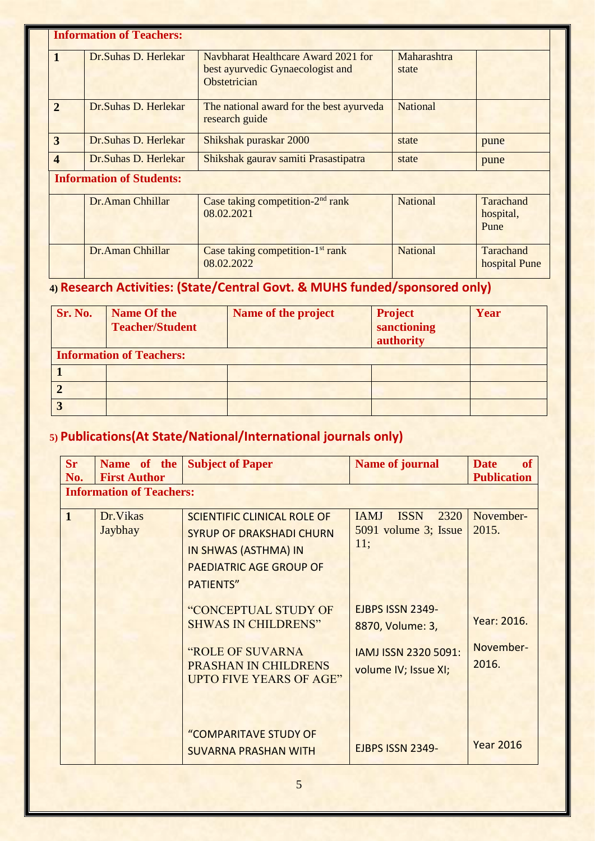|                         | <b>Information of Teachers:</b> |                                                                                         |                      |                                |  |  |  |
|-------------------------|---------------------------------|-----------------------------------------------------------------------------------------|----------------------|--------------------------------|--|--|--|
| $\mathbf{1}$            | Dr. Suhas D. Herlekar           | Navbharat Healthcare Award 2021 for<br>best ayurvedic Gynaecologist and<br>Obstetrician | Maharashtra<br>state |                                |  |  |  |
| $\overline{2}$          | Dr. Suhas D. Herlekar           | The national award for the best ayurveda<br>research guide                              | <b>National</b>      |                                |  |  |  |
| 3                       | Dr. Suhas D. Herlekar           | Shikshak puraskar 2000                                                                  | state                | pune                           |  |  |  |
| $\overline{\mathbf{4}}$ | Dr.Suhas D. Herlekar            | Shikshak gaurav samiti Prasastipatra                                                    | state                | pune                           |  |  |  |
|                         | <b>Information of Students:</b> |                                                                                         |                      |                                |  |  |  |
|                         | Dr.Aman Chhillar                | Case taking competition- $2nd$ rank<br>08.02.2021                                       | <b>National</b>      | Tarachand<br>hospital,<br>Pune |  |  |  |
|                         | Dr.Aman Chhillar                | Case taking competition- $1st$ rank<br>08.02.2022                                       | <b>National</b>      | Tarachand<br>hospital Pune     |  |  |  |

# **4) Research Activities: (State/Central Govt. & MUHS funded/sponsored only)**

| Sr. No.                         | <b>Name Of the</b><br><b>Teacher/Student</b> | Name of the project | <b>Project</b><br>sanctioning<br>authority | Year |  |
|---------------------------------|----------------------------------------------|---------------------|--------------------------------------------|------|--|
| <b>Information of Teachers:</b> |                                              |                     |                                            |      |  |
|                                 |                                              |                     |                                            |      |  |
|                                 |                                              |                     |                                            |      |  |
|                                 |                                              |                     |                                            |      |  |

### **5) Publications(At State/National/International journals only)**

| <b>Sr</b><br>No. | Name of the<br><b>First Author</b> | <b>Subject of Paper</b>                                                                                                                             | <b>Name of journal</b>                                                               | <b>of</b><br><b>Date</b><br><b>Publication</b> |
|------------------|------------------------------------|-----------------------------------------------------------------------------------------------------------------------------------------------------|--------------------------------------------------------------------------------------|------------------------------------------------|
|                  | <b>Information of Teachers:</b>    |                                                                                                                                                     |                                                                                      |                                                |
| $\mathbf{1}$     | Dr. Vikas<br>Jaybhay               | <b>SCIENTIFIC CLINICAL ROLE OF</b><br><b>SYRUP OF DRAKSHADI CHURN</b><br>IN SHWAS (ASTHMA) IN<br><b>PAEDIATRIC AGE GROUP OF</b><br><b>PATIENTS"</b> | <b>IAMJ</b><br>2320<br><b>ISSN</b><br>5091 volume 3; Issue<br>11;                    | November-<br>2015.                             |
|                  |                                    | "CONCEPTUAL STUDY OF<br><b>SHWAS IN CHILDRENS"</b><br>"ROLE OF SUVARNA<br><b>PRASHAN IN CHILDRENS</b><br><b>UPTO FIVE YEARS OF AGE"</b>             | EJBPS ISSN 2349-<br>8870, Volume: 3,<br>IAMJ ISSN 2320 5091:<br>volume IV; Issue XI; | Year: 2016.<br>November-<br>2016.              |
|                  |                                    | "COMPARITAVE STUDY OF<br><b>SUVARNA PRASHAN WITH</b>                                                                                                | EJBPS ISSN 2349-                                                                     | <b>Year 2016</b>                               |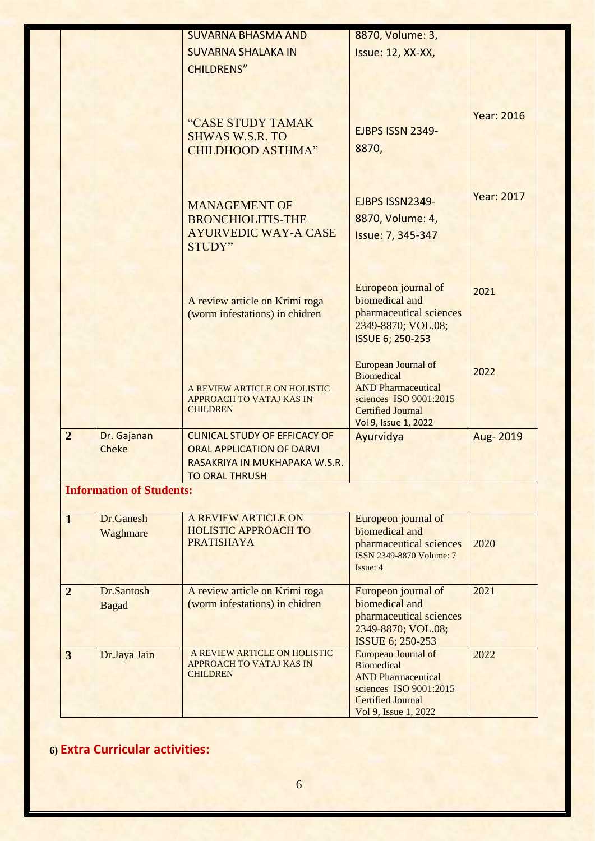|                         |                                 | <b>SUVARNA BHASMA AND</b>                                         | 8870, Volume: 3,                                   |                   |
|-------------------------|---------------------------------|-------------------------------------------------------------------|----------------------------------------------------|-------------------|
|                         |                                 | <b>SUVARNA SHALAKA IN</b>                                         | <b>Issue: 12, XX-XX,</b>                           |                   |
|                         |                                 | <b>CHILDRENS"</b>                                                 |                                                    |                   |
|                         |                                 |                                                                   |                                                    |                   |
|                         |                                 |                                                                   |                                                    | <b>Year: 2016</b> |
|                         |                                 | "CASE STUDY TAMAK<br><b>SHWAS W.S.R. TO</b>                       | EJBPS ISSN 2349-                                   |                   |
|                         |                                 | <b>CHILDHOOD ASTHMA"</b>                                          | 8870,                                              |                   |
|                         |                                 |                                                                   |                                                    |                   |
|                         |                                 |                                                                   |                                                    | <b>Year: 2017</b> |
|                         |                                 | <b>MANAGEMENT OF</b>                                              | EJBPS ISSN2349-                                    |                   |
|                         |                                 | <b>BRONCHIOLITIS-THE</b><br><b>AYURVEDIC WAY-A CASE</b>           | 8870, Volume: 4,                                   |                   |
|                         |                                 | <b>STUDY"</b>                                                     | Issue: 7, 345-347                                  |                   |
|                         |                                 |                                                                   |                                                    |                   |
|                         |                                 |                                                                   | Europeon journal of<br>biomedical and              | 2021              |
|                         |                                 | A review article on Krimi roga<br>(worm infestations) in chidren  | pharmaceutical sciences                            |                   |
|                         |                                 |                                                                   | 2349-8870; VOL.08;                                 |                   |
|                         |                                 |                                                                   | <b>ISSUE 6; 250-253</b>                            |                   |
|                         |                                 |                                                                   | European Journal of                                |                   |
|                         |                                 |                                                                   | <b>Biomedical</b>                                  | 2022              |
|                         |                                 | A REVIEW ARTICLE ON HOLISTIC                                      | <b>AND Pharmaceutical</b>                          |                   |
|                         |                                 | <b>APPROACH TO VATAJ KAS IN</b><br><b>CHILDREN</b>                | sciences ISO 9001:2015<br><b>Certified Journal</b> |                   |
|                         |                                 |                                                                   | Vol 9, Issue 1, 2022                               |                   |
| $\overline{2}$          | Dr. Gajanan                     | <b>CLINICAL STUDY OF EFFICACY OF</b>                              | Ayurvidya                                          | Aug-2019          |
|                         | <b>Cheke</b>                    | <b>ORAL APPLICATION OF DARVI</b><br>RASAKRIYA IN MUKHAPAKA W.S.R. |                                                    |                   |
|                         |                                 | <b>TO ORAL THRUSH</b>                                             |                                                    |                   |
|                         | <b>Information of Students:</b> |                                                                   |                                                    |                   |
| $\mathbf{1}$            | Dr.Ganesh                       | <b>A REVIEW ARTICLE ON</b>                                        | Europeon journal of                                |                   |
|                         | Waghmare                        | <b>HOLISTIC APPROACH TO</b><br><b>PRATISHAYA</b>                  | biomedical and<br>pharmaceutical sciences          | 2020              |
|                         |                                 |                                                                   | ISSN 2349-8870 Volume: 7                           |                   |
|                         |                                 |                                                                   | Issue: 4                                           |                   |
| $\overline{2}$          | Dr.Santosh                      | A review article on Krimi roga                                    | Europeon journal of                                | 2021              |
|                         | <b>Bagad</b>                    | (worm infestations) in chidren                                    | biomedical and                                     |                   |
|                         |                                 |                                                                   | pharmaceutical sciences<br>2349-8870; VOL.08;      |                   |
|                         |                                 |                                                                   | <b>ISSUE 6; 250-253</b>                            |                   |
| $\overline{\mathbf{3}}$ | Dr.Jaya Jain                    | A REVIEW ARTICLE ON HOLISTIC                                      | European Journal of                                | 2022              |
|                         |                                 | <b>APPROACH TO VATAJ KAS IN</b><br><b>CHILDREN</b>                | <b>Biomedical</b><br><b>AND Pharmaceutical</b>     |                   |
|                         |                                 |                                                                   | sciences ISO 9001:2015                             |                   |
|                         |                                 |                                                                   | <b>Certified Journal</b>                           |                   |
|                         |                                 |                                                                   | Vol 9, Issue 1, 2022                               |                   |

**6) Extra Curricular activities:**